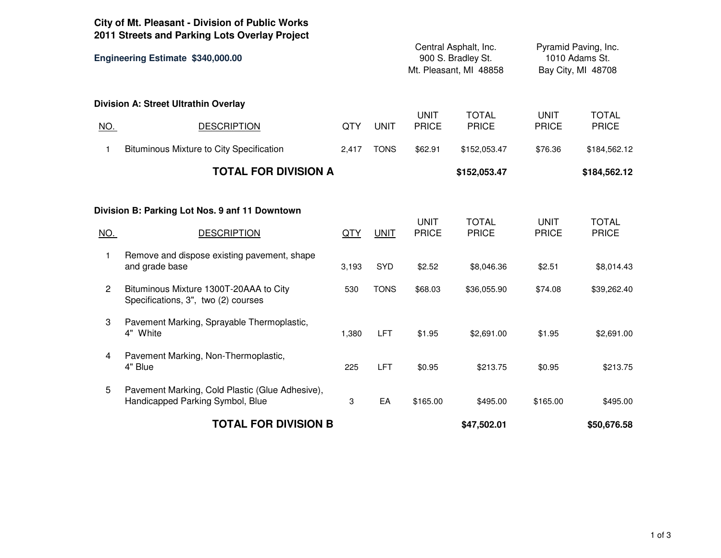|                                   | City of Mt. Pleasant - Division of Public Works<br>2011 Streets and Parking Lots Overlay Project |            |             |                                                                       |                              |                                                              |                              |
|-----------------------------------|--------------------------------------------------------------------------------------------------|------------|-------------|-----------------------------------------------------------------------|------------------------------|--------------------------------------------------------------|------------------------------|
| Engineering Estimate \$340,000.00 |                                                                                                  |            |             | Central Asphalt, Inc.<br>900 S. Bradley St.<br>Mt. Pleasant, MI 48858 |                              | Pyramid Paving, Inc.<br>1010 Adams St.<br>Bay City, MI 48708 |                              |
|                                   | Division A: Street Ultrathin Overlay                                                             |            |             |                                                                       |                              |                                                              |                              |
| <u>NO.</u>                        | <b>DESCRIPTION</b>                                                                               | <b>QTY</b> | <b>UNIT</b> | <b>UNIT</b><br><b>PRICE</b>                                           | <b>TOTAL</b><br><b>PRICE</b> | <b>UNIT</b><br><b>PRICE</b>                                  | <b>TOTAL</b><br><b>PRICE</b> |
| 1                                 | Bituminous Mixture to City Specification                                                         | 2,417      | <b>TONS</b> | \$62.91                                                               | \$152,053.47                 | \$76.36                                                      | \$184,562.12                 |
|                                   | <b>TOTAL FOR DIVISION A</b>                                                                      |            |             | \$152,053.47                                                          |                              |                                                              | \$184,562.12                 |
|                                   | Division B: Parking Lot Nos. 9 anf 11 Downtown                                                   |            |             | <b>UNIT</b>                                                           | <b>TOTAL</b>                 | <b>UNIT</b>                                                  | <b>TOTAL</b>                 |
| <u>NO.</u>                        | <b>DESCRIPTION</b>                                                                               | <b>QTY</b> | <b>UNIT</b> | <b>PRICE</b>                                                          | <b>PRICE</b>                 | <b>PRICE</b>                                                 | <b>PRICE</b>                 |
| 1                                 | Remove and dispose existing pavement, shape<br>and grade base                                    | 3,193      | SYD         | \$2.52                                                                | \$8,046.36                   | \$2.51                                                       | \$8,014.43                   |
| $\overline{c}$                    | Bituminous Mixture 1300T-20AAA to City<br>Specifications, 3", two (2) courses                    | 530        | <b>TONS</b> | \$68.03                                                               | \$36,055.90                  | \$74.08                                                      | \$39,262.40                  |
| 3                                 | Pavement Marking, Sprayable Thermoplastic,<br>4" White                                           | 1,380      | <b>LFT</b>  | \$1.95                                                                | \$2,691.00                   | \$1.95                                                       | \$2,691.00                   |
| 4                                 | Pavement Marking, Non-Thermoplastic,<br>4" Blue                                                  | 225        | LFT         | \$0.95                                                                | \$213.75                     | \$0.95                                                       | \$213.75                     |
| 5                                 | Pavement Marking, Cold Plastic (Glue Adhesive),<br>Handicapped Parking Symbol, Blue              | 3          | EA          | \$165.00                                                              | \$495.00                     | \$165.00                                                     | \$495.00                     |
| <b>TOTAL FOR DIVISION B</b>       |                                                                                                  |            |             |                                                                       | \$47,502.01                  |                                                              | \$50,676.58                  |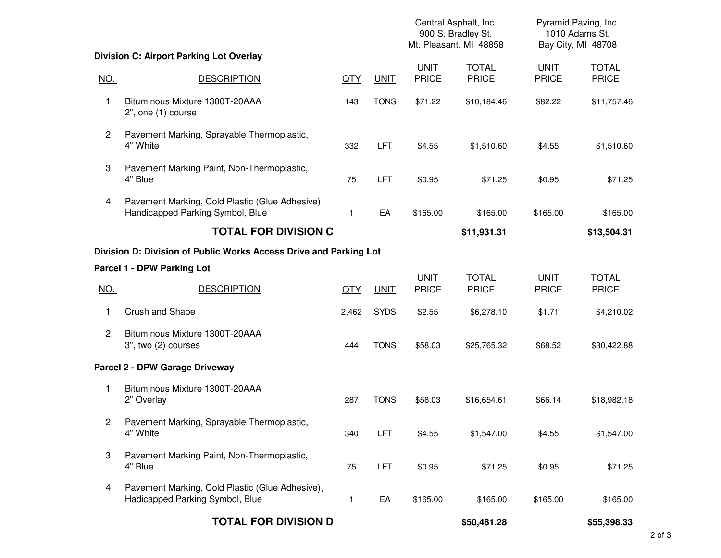|                      |                                                                                    |       |             | Central Asphalt, Inc.<br>900 S. Bradley St.<br>Mt. Pleasant, MI 48858 |                              | Pyramid Paving, Inc.<br>1010 Adams St.<br>Bay City, MI 48708 |                              |
|----------------------|------------------------------------------------------------------------------------|-------|-------------|-----------------------------------------------------------------------|------------------------------|--------------------------------------------------------------|------------------------------|
|                      | <b>Division C: Airport Parking Lot Overlay</b>                                     |       |             |                                                                       |                              |                                                              |                              |
| <u>NO.</u>           | <b>DESCRIPTION</b>                                                                 | QTY   | <b>UNIT</b> | <b>UNIT</b><br><b>PRICE</b>                                           | <b>TOTAL</b><br><b>PRICE</b> | <b>UNIT</b><br><b>PRICE</b>                                  | <b>TOTAL</b><br><b>PRICE</b> |
| 1                    | Bituminous Mixture 1300T-20AAA<br>2", one (1) course                               | 143   | <b>TONS</b> | \$71.22                                                               | \$10,184.46                  | \$82.22                                                      | \$11,757.46                  |
| $\overline{2}$       | Pavement Marking, Sprayable Thermoplastic,<br>4" White                             | 332   | <b>LFT</b>  | \$4.55                                                                | \$1,510.60                   | \$4.55                                                       | \$1,510.60                   |
| 3                    | Pavement Marking Paint, Non-Thermoplastic,<br>4" Blue                              | 75    | <b>LFT</b>  | \$0.95                                                                | \$71.25                      | \$0.95                                                       | \$71.25                      |
| 4                    | Pavement Marking, Cold Plastic (Glue Adhesive)<br>Handicapped Parking Symbol, Blue | 1     | EA          | \$165.00                                                              | \$165.00                     | \$165.00                                                     | \$165.00                     |
|                      | <b>TOTAL FOR DIVISION C</b>                                                        |       |             |                                                                       | \$11,931.31                  |                                                              | \$13,504.31                  |
|                      | Division D: Division of Public Works Access Drive and Parking Lot                  |       |             |                                                                       |                              |                                                              |                              |
|                      | Parcel 1 - DPW Parking Lot                                                         |       |             | <b>UNIT</b>                                                           |                              |                                                              |                              |
| <u>NO.</u>           | <b>DESCRIPTION</b>                                                                 | QTY   | <b>UNIT</b> | <b>PRICE</b>                                                          | <b>TOTAL</b><br><b>PRICE</b> | <b>UNIT</b><br><b>PRICE</b>                                  | <b>TOTAL</b><br><b>PRICE</b> |
| 1                    | Crush and Shape                                                                    | 2,462 | <b>SYDS</b> | \$2.55                                                                | \$6,278.10                   | \$1.71                                                       | \$4,210.02                   |
| $\overline{2}$       | Bituminous Mixture 1300T-20AAA<br>3", two (2) courses                              | 444   | <b>TONS</b> | \$58.03                                                               | \$25,765.32                  | \$68.52                                                      | \$30,422.88                  |
|                      | Parcel 2 - DPW Garage Driveway                                                     |       |             |                                                                       |                              |                                                              |                              |
| 1                    | Bituminous Mixture 1300T-20AAA<br>2" Overlay                                       | 287   | <b>TONS</b> | \$58.03                                                               | \$16,654.61                  | \$66.14                                                      | \$18,982.18                  |
| $\mathbf{2}^{\circ}$ | Pavement Marking, Sprayable Thermoplastic,<br>4" White                             | 340   | LFT         | \$4.55                                                                | \$1,547.00                   | \$4.55                                                       | \$1,547.00                   |
| 3                    | Pavement Marking Paint, Non-Thermoplastic,<br>4" Blue                              | 75    | LFT         | \$0.95                                                                | \$71.25                      | \$0.95                                                       | \$71.25                      |
| 4                    | Pavement Marking, Cold Plastic (Glue Adhesive),<br>Hadicapped Parking Symbol, Blue | 1     | EA          | \$165.00                                                              | \$165.00                     | \$165.00                                                     | \$165.00                     |
|                      | <b>TOTAL FOR DIVISION D</b>                                                        |       |             |                                                                       | \$50,481.28                  |                                                              | \$55,398.33                  |